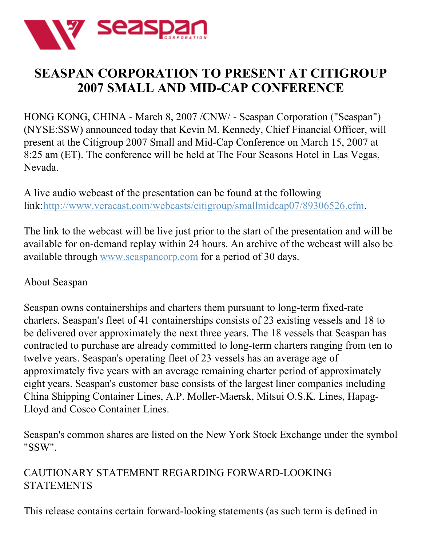

## **SEASPAN CORPORATION TO PRESENT AT CITIGROUP 2007 SMALL AND MID-CAP CONFERENCE**

HONG KONG, CHINA - March 8, 2007 /CNW/ - Seaspan Corporation ("Seaspan") (NYSE:SSW) announced today that Kevin M. Kennedy, Chief Financial Officer, will present at the Citigroup 2007 Small and Mid-Cap Conference on March 15, 2007 at 8:25 am (ET). The conference will be held at The Four Seasons Hotel in Las Vegas, Nevada.

A live audio webcast of the presentation can be found at the following link:<http://www.veracast.com/webcasts/citigroup/smallmidcap07/89306526.cfm>.

The link to the webcast will be live just prior to the start of the presentation and will be available for on-demand replay within 24 hours. An archive of the webcast will also be available through [www.seaspancorp.com](http://www.seaspancorp.com/) for a period of 30 days.

## About Seaspan

Seaspan owns containerships and charters them pursuant to long-term fixed-rate charters. Seaspan's fleet of 41 containerships consists of 23 existing vessels and 18 to be delivered over approximately the next three years. The 18 vessels that Seaspan has contracted to purchase are already committed to long-term charters ranging from ten to twelve years. Seaspan's operating fleet of 23 vessels has an average age of approximately five years with an average remaining charter period of approximately eight years. Seaspan's customer base consists of the largest liner companies including China Shipping Container Lines, A.P. Moller-Maersk, Mitsui O.S.K. Lines, Hapag-Lloyd and Cosco Container Lines.

Seaspan's common shares are listed on the New York Stock Exchange under the symbol "SSW".

## CAUTIONARY STATEMENT REGARDING FORWARD-LOOKING STATEMENTS

This release contains certain forward-looking statements (as such term is defined in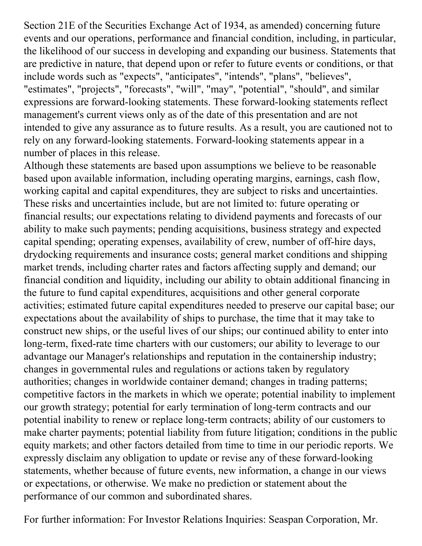Section 21E of the Securities Exchange Act of 1934, as amended) concerning future events and our operations, performance and financial condition, including, in particular, the likelihood of our success in developing and expanding our business. Statements that are predictive in nature, that depend upon or refer to future events or conditions, or that include words such as "expects", "anticipates", "intends", "plans", "believes", "estimates", "projects", "forecasts", "will", "may", "potential", "should", and similar expressions are forward-looking statements. These forward-looking statements reflect management's current views only as of the date of this presentation and are not intended to give any assurance as to future results. As a result, you are cautioned not to rely on any forward-looking statements. Forward-looking statements appear in a number of places in this release.

Although these statements are based upon assumptions we believe to be reasonable based upon available information, including operating margins, earnings, cash flow, working capital and capital expenditures, they are subject to risks and uncertainties. These risks and uncertainties include, but are not limited to: future operating or financial results; our expectations relating to dividend payments and forecasts of our ability to make such payments; pending acquisitions, business strategy and expected capital spending; operating expenses, availability of crew, number of off-hire days, drydocking requirements and insurance costs; general market conditions and shipping market trends, including charter rates and factors affecting supply and demand; our financial condition and liquidity, including our ability to obtain additional financing in the future to fund capital expenditures, acquisitions and other general corporate activities; estimated future capital expenditures needed to preserve our capital base; our expectations about the availability of ships to purchase, the time that it may take to construct new ships, or the useful lives of our ships; our continued ability to enter into long-term, fixed-rate time charters with our customers; our ability to leverage to our advantage our Manager's relationships and reputation in the containership industry; changes in governmental rules and regulations or actions taken by regulatory authorities; changes in worldwide container demand; changes in trading patterns; competitive factors in the markets in which we operate; potential inability to implement our growth strategy; potential for early termination of long-term contracts and our potential inability to renew or replace long-term contracts; ability of our customers to make charter payments; potential liability from future litigation; conditions in the public equity markets; and other factors detailed from time to time in our periodic reports. We expressly disclaim any obligation to update or revise any of these forward-looking statements, whether because of future events, new information, a change in our views or expectations, or otherwise. We make no prediction or statement about the performance of our common and subordinated shares.

For further information: For Investor Relations Inquiries: Seaspan Corporation, Mr.